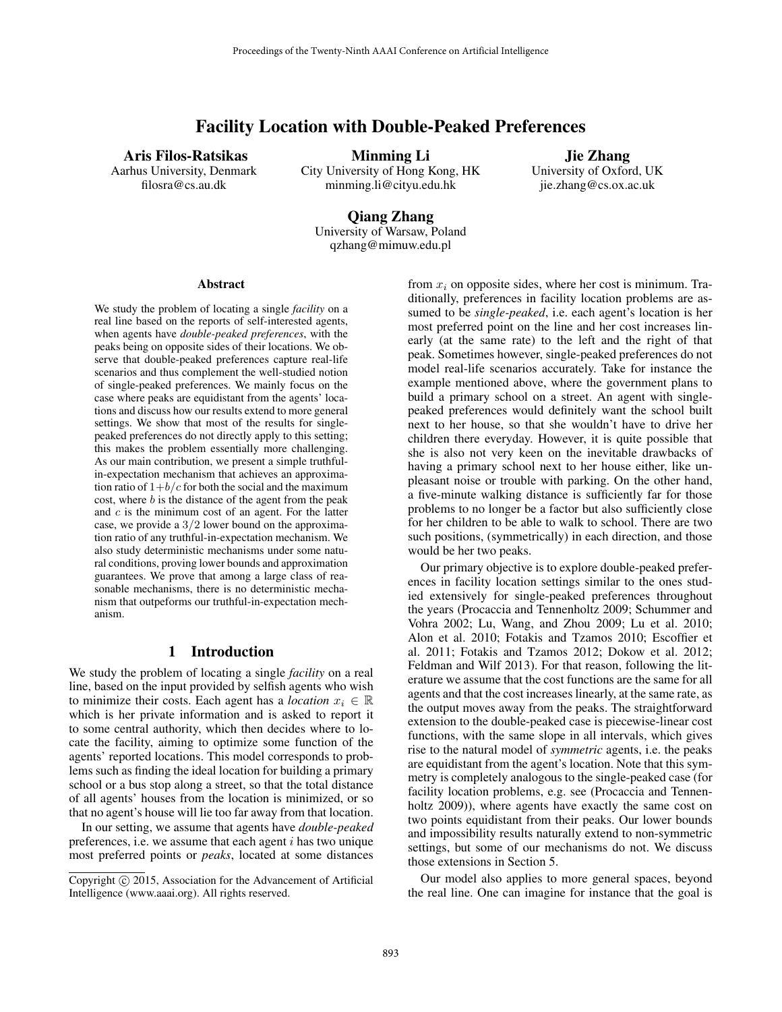# Facility Location with Double-Peaked Preferences

Aris Filos-Ratsikas Aarhus University, Denmark filosra@cs.au.dk

Minming Li

City University of Hong Kong, HK minming.li@cityu.edu.hk

Jie Zhang University of Oxford, UK jie.zhang@cs.ox.ac.uk

Qiang Zhang University of Warsaw, Poland qzhang@mimuw.edu.pl

#### Abstract

We study the problem of locating a single *facility* on a real line based on the reports of self-interested agents, when agents have *double-peaked preferences*, with the peaks being on opposite sides of their locations. We observe that double-peaked preferences capture real-life scenarios and thus complement the well-studied notion of single-peaked preferences. We mainly focus on the case where peaks are equidistant from the agents' locations and discuss how our results extend to more general settings. We show that most of the results for singlepeaked preferences do not directly apply to this setting; this makes the problem essentially more challenging. As our main contribution, we present a simple truthfulin-expectation mechanism that achieves an approximation ratio of  $1+b/c$  for both the social and the maximum cost, where  $b$  is the distance of the agent from the peak and c is the minimum cost of an agent. For the latter case, we provide a  $3/2$  lower bound on the approximation ratio of any truthful-in-expectation mechanism. We also study deterministic mechanisms under some natural conditions, proving lower bounds and approximation guarantees. We prove that among a large class of reasonable mechanisms, there is no deterministic mechanism that outpeforms our truthful-in-expectation mechanism.

# 1 Introduction

We study the problem of locating a single *facility* on a real line, based on the input provided by selfish agents who wish to minimize their costs. Each agent has a *location*  $x_i \in \mathbb{R}$ which is her private information and is asked to report it to some central authority, which then decides where to locate the facility, aiming to optimize some function of the agents' reported locations. This model corresponds to problems such as finding the ideal location for building a primary school or a bus stop along a street, so that the total distance of all agents' houses from the location is minimized, or so that no agent's house will lie too far away from that location.

In our setting, we assume that agents have *double-peaked* preferences, i.e. we assume that each agent  $i$  has two unique most preferred points or *peaks*, located at some distances from  $x_i$  on opposite sides, where her cost is minimum. Traditionally, preferences in facility location problems are assumed to be *single-peaked*, i.e. each agent's location is her most preferred point on the line and her cost increases linearly (at the same rate) to the left and the right of that peak. Sometimes however, single-peaked preferences do not model real-life scenarios accurately. Take for instance the example mentioned above, where the government plans to build a primary school on a street. An agent with singlepeaked preferences would definitely want the school built next to her house, so that she wouldn't have to drive her children there everyday. However, it is quite possible that she is also not very keen on the inevitable drawbacks of having a primary school next to her house either, like unpleasant noise or trouble with parking. On the other hand, a five-minute walking distance is sufficiently far for those problems to no longer be a factor but also sufficiently close for her children to be able to walk to school. There are two such positions, (symmetrically) in each direction, and those would be her two peaks.

Our primary objective is to explore double-peaked preferences in facility location settings similar to the ones studied extensively for single-peaked preferences throughout the years (Procaccia and Tennenholtz 2009; Schummer and Vohra 2002; Lu, Wang, and Zhou 2009; Lu et al. 2010; Alon et al. 2010; Fotakis and Tzamos 2010; Escoffier et al. 2011; Fotakis and Tzamos 2012; Dokow et al. 2012; Feldman and Wilf 2013). For that reason, following the literature we assume that the cost functions are the same for all agents and that the cost increases linearly, at the same rate, as the output moves away from the peaks. The straightforward extension to the double-peaked case is piecewise-linear cost functions, with the same slope in all intervals, which gives rise to the natural model of *symmetric* agents, i.e. the peaks are equidistant from the agent's location. Note that this symmetry is completely analogous to the single-peaked case (for facility location problems, e.g. see (Procaccia and Tennenholtz 2009)), where agents have exactly the same cost on two points equidistant from their peaks. Our lower bounds and impossibility results naturally extend to non-symmetric settings, but some of our mechanisms do not. We discuss those extensions in Section 5.

Our model also applies to more general spaces, beyond the real line. One can imagine for instance that the goal is

Copyright (c) 2015, Association for the Advancement of Artificial Intelligence (www.aaai.org). All rights reserved.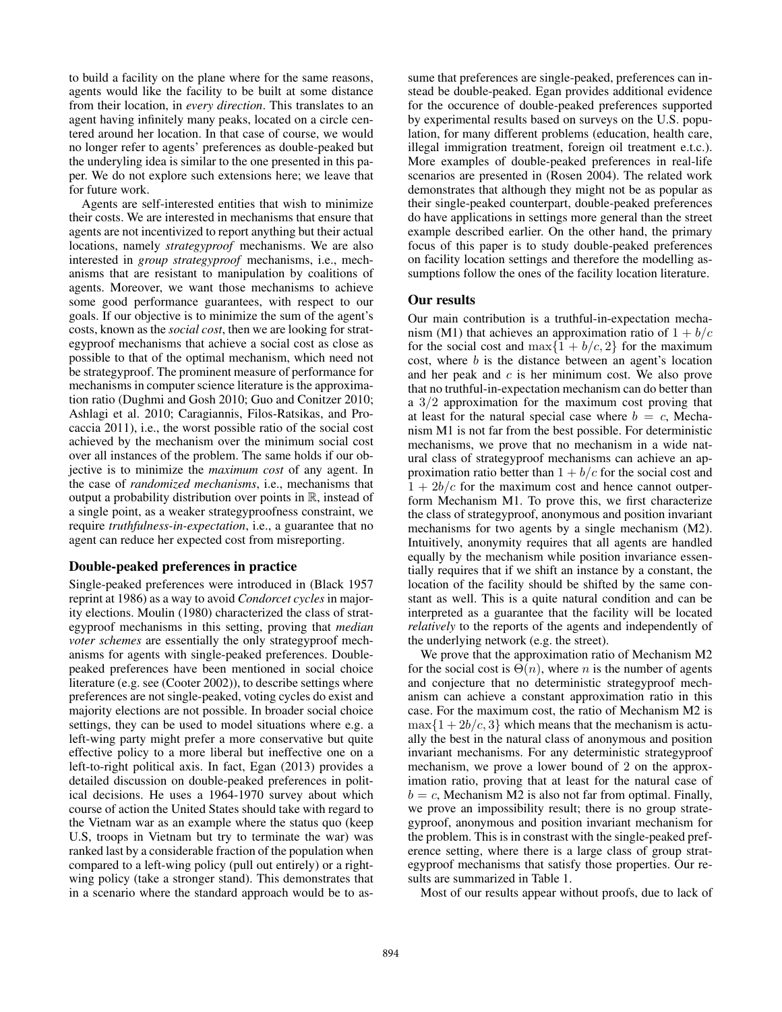to build a facility on the plane where for the same reasons, agents would like the facility to be built at some distance from their location, in *every direction*. This translates to an agent having infinitely many peaks, located on a circle centered around her location. In that case of course, we would no longer refer to agents' preferences as double-peaked but the underyling idea is similar to the one presented in this paper. We do not explore such extensions here; we leave that for future work.

Agents are self-interested entities that wish to minimize their costs. We are interested in mechanisms that ensure that agents are not incentivized to report anything but their actual locations, namely *strategyproof* mechanisms. We are also interested in *group strategyproof* mechanisms, i.e., mechanisms that are resistant to manipulation by coalitions of agents. Moreover, we want those mechanisms to achieve some good performance guarantees, with respect to our goals. If our objective is to minimize the sum of the agent's costs, known as the *social cost*, then we are looking for strategyproof mechanisms that achieve a social cost as close as possible to that of the optimal mechanism, which need not be strategyproof. The prominent measure of performance for mechanisms in computer science literature is the approximation ratio (Dughmi and Gosh 2010; Guo and Conitzer 2010; Ashlagi et al. 2010; Caragiannis, Filos-Ratsikas, and Procaccia 2011), i.e., the worst possible ratio of the social cost achieved by the mechanism over the minimum social cost over all instances of the problem. The same holds if our objective is to minimize the *maximum cost* of any agent. In the case of *randomized mechanisms*, i.e., mechanisms that output a probability distribution over points in  $\mathbb R$ , instead of a single point, as a weaker strategyproofness constraint, we require *truthfulness-in-expectation*, i.e., a guarantee that no agent can reduce her expected cost from misreporting.

# Double-peaked preferences in practice

Single-peaked preferences were introduced in (Black 1957 reprint at 1986) as a way to avoid *Condorcet cycles* in majority elections. Moulin (1980) characterized the class of strategyproof mechanisms in this setting, proving that *median voter schemes* are essentially the only strategyproof mechanisms for agents with single-peaked preferences. Doublepeaked preferences have been mentioned in social choice literature (e.g. see (Cooter 2002)), to describe settings where preferences are not single-peaked, voting cycles do exist and majority elections are not possible. In broader social choice settings, they can be used to model situations where e.g. a left-wing party might prefer a more conservative but quite effective policy to a more liberal but ineffective one on a left-to-right political axis. In fact, Egan (2013) provides a detailed discussion on double-peaked preferences in political decisions. He uses a 1964-1970 survey about which course of action the United States should take with regard to the Vietnam war as an example where the status quo (keep U.S, troops in Vietnam but try to terminate the war) was ranked last by a considerable fraction of the population when compared to a left-wing policy (pull out entirely) or a rightwing policy (take a stronger stand). This demonstrates that in a scenario where the standard approach would be to assume that preferences are single-peaked, preferences can instead be double-peaked. Egan provides additional evidence for the occurence of double-peaked preferences supported by experimental results based on surveys on the U.S. population, for many different problems (education, health care, illegal immigration treatment, foreign oil treatment e.t.c.). More examples of double-peaked preferences in real-life scenarios are presented in (Rosen 2004). The related work demonstrates that although they might not be as popular as their single-peaked counterpart, double-peaked preferences do have applications in settings more general than the street example described earlier. On the other hand, the primary focus of this paper is to study double-peaked preferences on facility location settings and therefore the modelling assumptions follow the ones of the facility location literature.

## Our results

Our main contribution is a truthful-in-expectation mechanism (M1) that achieves an approximation ratio of  $1 + b/c$ for the social cost and max $\{1 + b/c, 2\}$  for the maximum cost, where b is the distance between an agent's location and her peak and  $c$  is her minimum cost. We also prove that no truthful-in-expectation mechanism can do better than a 3/2 approximation for the maximum cost proving that at least for the natural special case where  $b = c$ , Mechanism M1 is not far from the best possible. For deterministic mechanisms, we prove that no mechanism in a wide natural class of strategyproof mechanisms can achieve an approximation ratio better than  $1 + b/c$  for the social cost and  $1 + 2b/c$  for the maximum cost and hence cannot outperform Mechanism M1. To prove this, we first characterize the class of strategyproof, anonymous and position invariant mechanisms for two agents by a single mechanism (M2). Intuitively, anonymity requires that all agents are handled equally by the mechanism while position invariance essentially requires that if we shift an instance by a constant, the location of the facility should be shifted by the same constant as well. This is a quite natural condition and can be interpreted as a guarantee that the facility will be located *relatively* to the reports of the agents and independently of the underlying network (e.g. the street).

We prove that the approximation ratio of Mechanism M2 for the social cost is  $\Theta(n)$ , where *n* is the number of agents and conjecture that no deterministic strategyproof mechanism can achieve a constant approximation ratio in this case. For the maximum cost, the ratio of Mechanism M2 is  $\max\{1+2b/c, 3\}$  which means that the mechanism is actually the best in the natural class of anonymous and position invariant mechanisms. For any deterministic strategyproof mechanism, we prove a lower bound of 2 on the approximation ratio, proving that at least for the natural case of  $b = c$ , Mechanism M2 is also not far from optimal. Finally, we prove an impossibility result; there is no group strategyproof, anonymous and position invariant mechanism for the problem. This is in constrast with the single-peaked preference setting, where there is a large class of group strategyproof mechanisms that satisfy those properties. Our results are summarized in Table 1.

Most of our results appear without proofs, due to lack of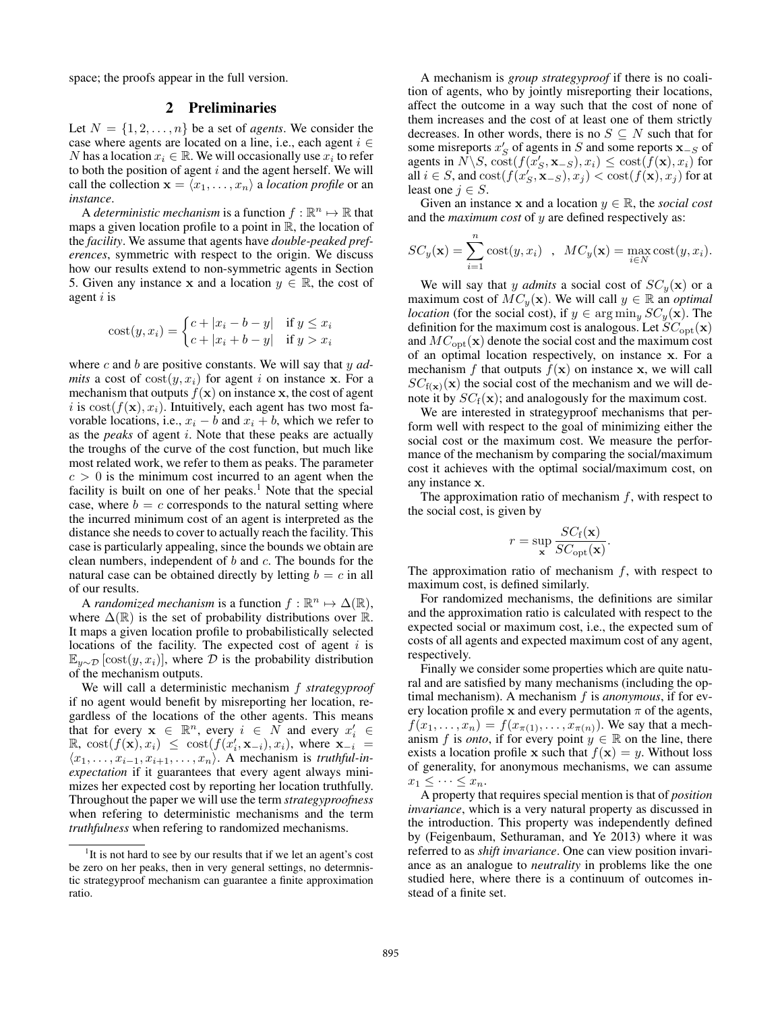space; the proofs appear in the full version.

# 2 Preliminaries

Let  $N = \{1, 2, \ldots, n\}$  be a set of *agents*. We consider the case where agents are located on a line, i.e., each agent  $i \in$ N has a location  $x_i \in \mathbb{R}$ . We will occasionally use  $x_i$  to refer to both the position of agent  $i$  and the agent herself. We will call the collection  $\mathbf{x} = \langle x_1, \ldots, x_n \rangle$  a *location profile* or an *instance*.

A *deterministic mechanism* is a function  $f : \mathbb{R}^n \mapsto \mathbb{R}$  that maps a given location profile to a point in  $\mathbb{R}$ , the location of the *facility*. We assume that agents have *double-peaked preferences*, symmetric with respect to the origin. We discuss how our results extend to non-symmetric agents in Section 5. Given any instance x and a location  $y \in \mathbb{R}$ , the cost of agent  $i$  is

$$
cost(y, x_i) = \begin{cases} c + |x_i - b - y| & \text{if } y \le x_i \\ c + |x_i + b - y| & \text{if } y > x_i \end{cases}
$$

where c and b are positive constants. We will say that y *admits* a cost of  $cost(y, x_i)$  for agent i on instance x. For a mechanism that outputs  $f(\mathbf{x})$  on instance x, the cost of agent i is  $cost(f(\mathbf{x}), x_i)$ . Intuitively, each agent has two most favorable locations, i.e.,  $x_i - b$  and  $x_i + b$ , which we refer to as the *peaks* of agent i. Note that these peaks are actually the troughs of the curve of the cost function, but much like most related work, we refer to them as peaks. The parameter  $c > 0$  is the minimum cost incurred to an agent when the facility is built on one of her peaks.<sup>1</sup> Note that the special case, where  $b = c$  corresponds to the natural setting where the incurred minimum cost of an agent is interpreted as the distance she needs to cover to actually reach the facility. This case is particularly appealing, since the bounds we obtain are clean numbers, independent of  $b$  and  $c$ . The bounds for the natural case can be obtained directly by letting  $b = c$  in all of our results.

A *randomized mechanism* is a function  $f : \mathbb{R}^n \mapsto \Delta(\mathbb{R})$ , where  $\Delta(\mathbb{R})$  is the set of probability distributions over  $\mathbb{R}$ . It maps a given location profile to probabilistically selected locations of the facility. The expected cost of agent  $i$  is  $\mathbb{E}_{y \sim \mathcal{D}}[\text{cost}(y, x_i)]$ , where  $\mathcal D$  is the probability distribution of the mechanism outputs.

We will call a deterministic mechanism f *strategyproof* if no agent would benefit by misreporting her location, regardless of the locations of the other agents. This means that for every  $x \in \mathbb{R}^n$ , every  $i \in N$  and every  $x'_i \in$  $\mathbb{R}, \ \text{cost}(f(\mathbf{x}), x_i) \ \leq \ \text{cost}(f(x'_i, \mathbf{x}_{-i}), x_i), \ \text{where} \ \mathbf{x}_{-i} =$  $\langle x_1, \ldots, x_{i-1}, x_{i+1}, \ldots, x_n \rangle$ . A mechanism is *truthful-inexpectation* if it guarantees that every agent always minimizes her expected cost by reporting her location truthfully. Throughout the paper we will use the term *strategyproofness* when refering to deterministic mechanisms and the term *truthfulness* when refering to randomized mechanisms.

A mechanism is *group strategyproof* if there is no coalition of agents, who by jointly misreporting their locations, affect the outcome in a way such that the cost of none of them increases and the cost of at least one of them strictly decreases. In other words, there is no  $S \subseteq N$  such that for some misreports  $x'_{S}$  of agents in S and some reports  $\mathbf{x}_{-S}$  of agents in  $\hat{N} \backslash S$ ,  $\text{cost}(f(x'_{S}, \mathbf{x}_{-S}), x_i) \leq \text{cost}(\hat{f}(\mathbf{x}), x_i)$  for all  $i \in S$ , and  $\text{cost}(f(x_S', \mathbf{x}_{-S}), x_j) < \text{cost}(f(\mathbf{x}), x_j)$  for at least one  $j \in S$ .

Given an instance x and a location  $y \in \mathbb{R}$ , the *social cost* and the *maximum cost* of y are defined respectively as:

$$
SC_y(\mathbf{x}) = \sum_{i=1}^n \text{cost}(y, x_i) , \quad MC_y(\mathbf{x}) = \max_{i \in N} \text{cost}(y, x_i).
$$

We will say that y *admits* a social cost of  $SC_y(\mathbf{x})$  or a maximum cost of  $MC_y(\mathbf{x})$ . We will call  $y \in \mathbb{R}$  an *optimal location* (for the social cost), if  $y \in \arg\min_y SC_y(\mathbf{x})$ . The definition for the maximum cost is analogous. Let  $SC_{opt}(\mathbf{x})$ and  $MC_{opt}(\mathbf{x})$  denote the social cost and the maximum cost of an optimal location respectively, on instance x. For a mechanism f that outputs  $f(\mathbf{x})$  on instance x, we will call  $SC_{f(x)}(x)$  the social cost of the mechanism and we will denote it by  $SC_f(\mathbf{x})$ ; and analogously for the maximum cost.

We are interested in strategyproof mechanisms that perform well with respect to the goal of minimizing either the social cost or the maximum cost. We measure the performance of the mechanism by comparing the social/maximum cost it achieves with the optimal social/maximum cost, on any instance x.

The approximation ratio of mechanism  $f$ , with respect to the social cost, is given by

$$
r = \sup_{\mathbf{x}} \frac{SC_{f}(\mathbf{x})}{SC_{opt}(\mathbf{x})}.
$$

The approximation ratio of mechanism  $f$ , with respect to maximum cost, is defined similarly.

For randomized mechanisms, the definitions are similar and the approximation ratio is calculated with respect to the expected social or maximum cost, i.e., the expected sum of costs of all agents and expected maximum cost of any agent, respectively.

Finally we consider some properties which are quite natural and are satisfied by many mechanisms (including the optimal mechanism). A mechanism f is *anonymous*, if for every location profile x and every permutation  $\pi$  of the agents,  $f(x_1, ..., x_n) = f(x_{\pi(1)}, ..., x_{\pi(n)})$ . We say that a mechanism f is *onto*, if for every point  $y \in \mathbb{R}$  on the line, there exists a location profile x such that  $f(\mathbf{x}) = y$ . Without loss of generality, for anonymous mechanisms, we can assume  $x_1 \leq \cdots \leq x_n$ .

A property that requires special mention is that of *position invariance*, which is a very natural property as discussed in the introduction. This property was independently defined by (Feigenbaum, Sethuraman, and Ye 2013) where it was referred to as *shift invariance*. One can view position invariance as an analogue to *neutrality* in problems like the one studied here, where there is a continuum of outcomes instead of a finite set.

<sup>&</sup>lt;sup>1</sup>It is not hard to see by our results that if we let an agent's cost be zero on her peaks, then in very general settings, no determnistic strategyproof mechanism can guarantee a finite approximation ratio.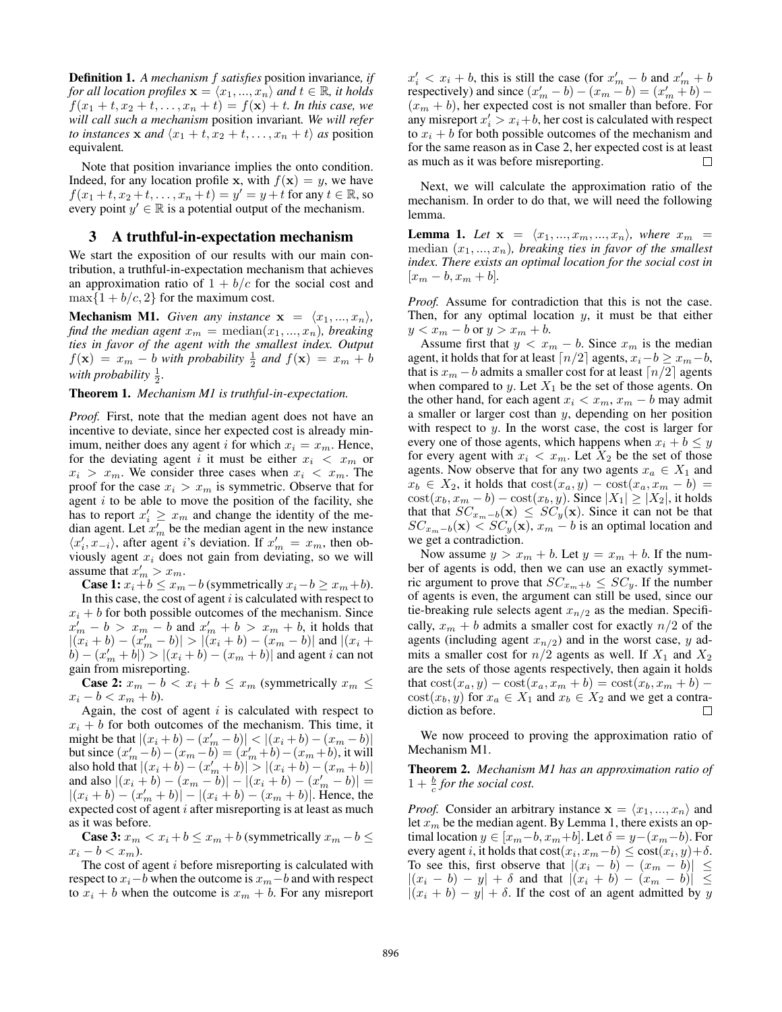Definition 1. *A mechanism* f *satisfies* position invariance*, if for all location profiles*  $\mathbf{x} = \langle x_1, ..., x_n \rangle$  *and*  $t \in \mathbb{R}$ *, it holds*  $f(x_1 + t, x_2 + t, \ldots, x_n + t) = f(\mathbf{x}) + t$ *. In this case, we will call such a mechanism* position invariant*. We will refer to instances* **x** and  $\langle x_1 + t, x_2 + t, \ldots, x_n + t \rangle$  as position equivalent*.*

Note that position invariance implies the onto condition. Indeed, for any location profile x, with  $f(x) = y$ , we have  $f(x_1+t, x_2+t, \ldots, x_n+t) = y' = y+t$  for any  $t \in \mathbb{R}$ , so every point  $y' \in \mathbb{R}$  is a potential output of the mechanism.

#### 3 A truthful-in-expectation mechanism

We start the exposition of our results with our main contribution, a truthful-in-expectation mechanism that achieves an approximation ratio of  $1 + b/c$  for the social cost and  $\max\{1+b/c, 2\}$  for the maximum cost.

**Mechanism M1.** *Given any instance*  $x = \langle x_1, ..., x_n \rangle$ *, find the median agent*  $x_m = \text{median}(x_1, ..., x_n)$ *, breaking ties in favor of the agent with the smallest index. Output*  $f(\mathbf{x}) = x_m - b$  *with probability*  $\frac{1}{2}$  *and*  $f(\mathbf{x}) = x_m + b$ with probability  $\frac{1}{2}$ .

#### Theorem 1. *Mechanism M1 is truthful-in-expectation.*

*Proof.* First, note that the median agent does not have an incentive to deviate, since her expected cost is already minimum, neither does any agent i for which  $x_i = x_m$ . Hence, for the deviating agent i it must be either  $x_i < x_m$  or  $x_i > x_m$ . We consider three cases when  $x_i < x_m$ . The proof for the case  $x_i > x_m$  is symmetric. Observe that for agent  $i$  to be able to move the position of the facility, she has to report  $x'_i \geq x_m$  and change the identity of the median agent. Let  $x'_m$  be the median agent in the new instance  $\langle x'_i, x_{-i} \rangle$ , after agent *i*'s deviation. If  $x'_m = x_m$ , then obviously agent  $x_i$  does not gain from deviating, so we will assume that  $x'_m > x_m$ .

**Case 1:**  $x_i + b \leq x_m - b$  (symmetrically  $x_i - b \geq x_m + b$ ). In this case, the cost of agent  $i$  is calculated with respect to  $x_i + b$  for both possible outcomes of the mechanism. Since  $x'_m - b > x_m - b$  and  $x'_m + b > x_m + b$ , it holds that  $|(x_i + b) - (x'_m - b)| > |(x_i + b) - (x_m - b)|$  and  $|(x_i + b) - (x'_m - b)|$  $\{b\} - (x_m' + b)^n > |(x_i + b) - (x_m + b)|$  and agent *i* can not gain from misreporting.

**Case 2:**  $x_m - b < x_i + b \le x_m$  (symmetrically  $x_m \le$  $x_i - b < x_m + b$ .

Again, the cost of agent  $i$  is calculated with respect to  $x_i + b$  for both outcomes of the mechanism. This time, it might be that  $|(x_i + b) - (x'_m - b)| < |(x_i + b) - (x_m - b)|$ but since  $(x'_m - b) - (x_m - b) = (x'_m + b) - (x_m + b)$ , it will also hold that  $|(x_i + b) - (x_m' + b)| > |(x_i + b) - (x_m + b)|$ and also  $|(x_i + b) - (x_m - b)| - |(x_i + b) - (x'_m - b)| =$  $|(x_i + b) - (x'_m + b)| - |(x_i + b) - (x_m + b)|$ . Hence, the expected cost of agent i after misreporting is at least as much as it was before.

**Case 3:**  $x_m < x_i + b \le x_m + b$  (symmetrically  $x_m - b \le$  $x_i - b < x_m$ ).

The cost of agent i before misreporting is calculated with respect to  $x_i-b$  when the outcome is  $x_m-b$  and with respect to  $x_i + b$  when the outcome is  $x_m + b$ . For any misreport

 $x'_i < x_i + b$ , this is still the case (for  $x'_m - b$  and  $x'_m + b$ respectively) and since  $(x'_m - b) - (x_m - b) = (x'_m + b) (x_m + b)$ , her expected cost is not smaller than before. For any misreport  $x'_i > x_i + b$ , her cost is calculated with respect to  $x_i + b$  for both possible outcomes of the mechanism and for the same reason as in Case 2, her expected cost is at least as much as it was before misreporting. П

Next, we will calculate the approximation ratio of the mechanism. In order to do that, we will need the following lemma.

**Lemma 1.** Let  $\mathbf{x} = \langle x_1, ..., x_m, ..., x_n \rangle$ , where  $x_m$  = median  $(x_1, ..., x_n)$ , breaking ties in favor of the smallest *index. There exists an optimal location for the social cost in*  $[x_m - b, x_m + b]$ .

*Proof.* Assume for contradiction that this is not the case. Then, for any optimal location  $y$ , it must be that either  $y < x_m - b$  or  $y > x_m + b$ .

Assume first that  $y < x_m - b$ . Since  $x_m$  is the median agent, it holds that for at least  $\lceil n/2 \rceil$  agents,  $x_i - b \ge x_m - b$ , that is  $x_m - b$  admits a smaller cost for at least  $\lceil n/2 \rceil$  agents when compared to  $y$ . Let  $X_1$  be the set of those agents. On the other hand, for each agent  $x_i < x_m$ ,  $x_m - b$  may admit a smaller or larger cost than  $y$ , depending on her position with respect to  $y$ . In the worst case, the cost is larger for every one of those agents, which happens when  $x_i + b \leq y$ for every agent with  $x_i < x_m$ . Let  $X_2$  be the set of those agents. Now observe that for any two agents  $x_a \in X_1$  and  $x_b \in X_2$ , it holds that  $\text{cost}(x_a, y) - \text{cost}(x_a, x_m - b) =$  $\text{cost}(x_b, x_m - b) - \text{cost}(x_b, y)$ . Since  $|X_1| \ge |X_2|$ , it holds that that  $SC_{x_m-b}(\mathbf{x}) \leq SC_y(\mathbf{x})$ . Since it can not be that  $SC_{x_m-b}(\mathbf{x}) < SC_y(\mathbf{x}), x_m-b$  is an optimal location and we get a contradiction.

Now assume  $y > x_m + b$ . Let  $y = x_m + b$ . If the number of agents is odd, then we can use an exactly symmetric argument to prove that  $SC_{x_m+b} \leq SC_y$ . If the number of agents is even, the argument can still be used, since our tie-breaking rule selects agent  $x_{n/2}$  as the median. Specifically,  $x_m + b$  admits a smaller cost for exactly  $n/2$  of the agents (including agent  $x_{n/2}$ ) and in the worst case, y admits a smaller cost for  $n/2$  agents as well. If  $X_1$  and  $X_2$ are the sets of those agents respectively, then again it holds that  $\cot(x_a, y) - \cot(x_a, x_m + b) = \cot(x_b, x_m + b)$  $cost(x_b, y)$  for  $x_a \in X_1$  and  $x_b \in X_2$  and we get a contradiction as before. □

We now proceed to proving the approximation ratio of Mechanism M1.

Theorem 2. *Mechanism M1 has an approximation ratio of*  $1 + \frac{b}{c}$  for the social cost.

*Proof.* Consider an arbitrary instance  $x = \langle x_1, ..., x_n \rangle$  and let  $x_m$  be the median agent. By Lemma 1, there exists an optimal location  $y \in [x_m-b, x_m+b]$ . Let  $\delta = y-(x_m-b)$ . For every agent *i*, it holds that  $\text{cost}(x_i, x_m - b) \leq \text{cost}(x_i, y) + \delta$ . To see this, first observe that  $|(x_i - b) - (x_m - b)| \le$  $|(x_i - b) - y| + \delta$  and that  $|(x_i + b) - (x_m - b)| \le$  $|(x_i + b) - y| + \delta$ . If the cost of an agent admitted by y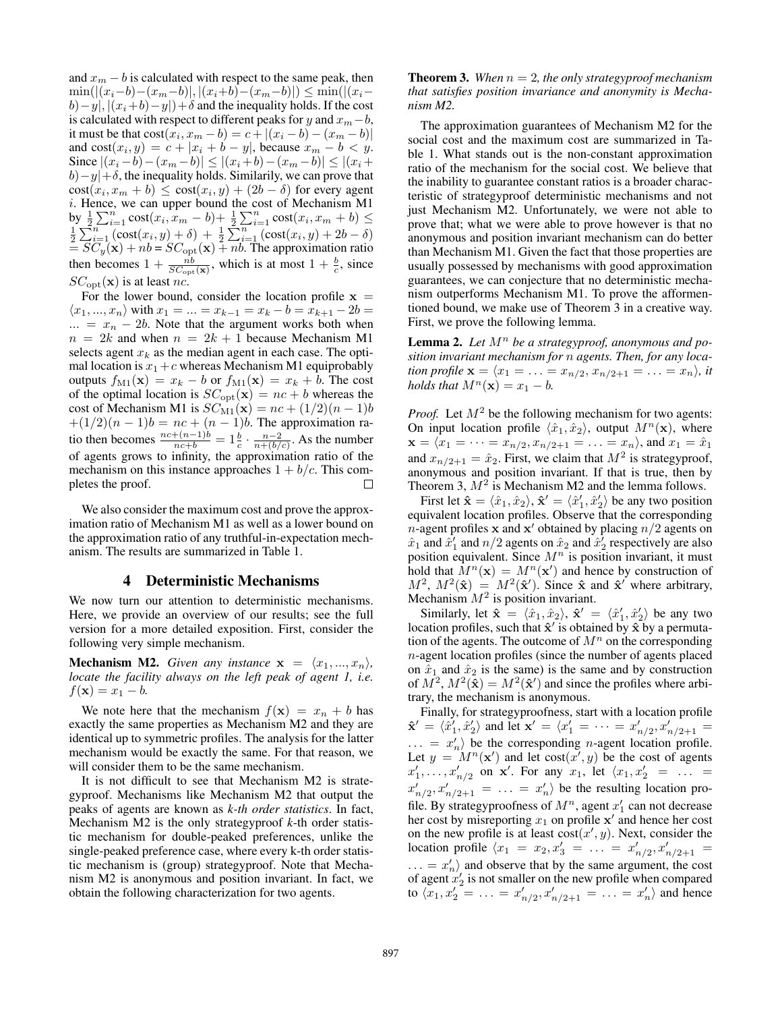and  $x_m - b$  is calculated with respect to the same peak, then  $\min(|(x_i-b)-(x_m-b)|, |(x_i+b)-(x_m-b)|) \leq \min(|(x_i-b)$  $b)-y|, |(x_i+b)-y|)+\delta$  and the inequality holds. If the cost is calculated with respect to different peaks for y and  $x_m-b$ , it must be that  $cost(x_i, x_m - b) = c + |(x_i - b) - (x_m - b)|$ and  $\text{cost}(x_i, y) = c + |x_i + b - y|$ , because  $x_m - b < y$ . Since  $|(x_i - b) - (x_m - b)| \le |(x_i + b) - (x_m - b)| \le |(x_i + b) - (x_m - b)|$  $b$ ) – y|+ $\delta$ , the inequality holds. Similarily, we can prove that  $cost(x_i, x_m + b) \le cost(x_i, y) + (2b - \delta)$  for every agent i. Hence, we can upper bound the cost of Mechanism M1  $\frac{1}{2}\sum_{i=1}^n \frac{\text{cost}(x_i, x_m - b) + \frac{1}{2}\sum_{i=1}^n \text{cost}(x_i, x_m + b)}{\sum_{i=1}^n (\text{cost}(x_i, y) + \delta) + \frac{1}{2}\sum_{i=1}^n (\text{cost}(x_i, y) + 2b - \delta)}$  $= SC_y(\mathbf{x}) + nb = SC_{\text{opt}}(\mathbf{x}) + nb$ . The approximation ratio then becomes  $1 + \frac{nb}{SC_{opt}(\mathbf{x})}$ , which is at most  $1 + \frac{b}{c}$ , since  $SC<sub>opt</sub>(**x**)$  is at least nc.

For the lower bound, consider the location profile  $x =$  $\langle x_1, ..., x_n \rangle$  with  $x_1 = ... = x_{k-1} = x_k - b = x_{k+1} - 2b =$  $\ldots = x_n - 2b$ . Note that the argument works both when  $n = 2k$  and when  $n = 2k + 1$  because Mechanism M1 selects agent  $x_k$  as the median agent in each case. The optimal location is  $x_1+c$  whereas Mechanism M1 equiprobably outputs  $f_{\text{M1}}(\mathbf{x}) = x_k - b$  or  $f_{\text{M1}}(\mathbf{x}) = x_k + b$ . The cost of the optimal location is  $SC_{opt}(\mathbf{x}) = nc + b$  whereas the cost of Mechanism M1 is  $SC_{M1}(\mathbf{x}) = nc + (1/2)(n - 1)b$  $+(1/2)(n-1)b = nc + (n-1)b$ . The approximation ratio then becomes  $\frac{nc+(n-1)b}{nc+b} = 1\frac{b}{c} \cdot \frac{n-2}{n+(b/c)}$ . As the number of agents grows to infinity, the approximation ratio of the mechanism on this instance approaches  $1 + b/c$ . This completes the proof.  $\Box$ 

We also consider the maximum cost and prove the approximation ratio of Mechanism M1 as well as a lower bound on the approximation ratio of any truthful-in-expectation mechanism. The results are summarized in Table 1.

## 4 Deterministic Mechanisms

We now turn our attention to deterministic mechanisms. Here, we provide an overview of our results; see the full version for a more detailed exposition. First, consider the following very simple mechanism.

**Mechanism M2.** *Given any instance*  $x = \langle x_1, ..., x_n \rangle$ *, locate the facility always on the left peak of agent 1, i.e.*  $f(\mathbf{x}) = x_1 - b$ .

We note here that the mechanism  $f(\mathbf{x}) = x_n + b$  has exactly the same properties as Mechanism M2 and they are identical up to symmetric profiles. The analysis for the latter mechanism would be exactly the same. For that reason, we will consider them to be the same mechanism.

It is not difficult to see that Mechanism M2 is strategyproof. Mechanisms like Mechanism M2 that output the peaks of agents are known as *k-th order statistics*. In fact, Mechanism M2 is the only strategyproof *k*-th order statistic mechanism for double-peaked preferences, unlike the single-peaked preference case, where every k-th order statistic mechanism is (group) strategyproof. Note that Mechanism M2 is anonymous and position invariant. In fact, we obtain the following characterization for two agents.

**Theorem 3.** When  $n = 2$ , the only strategyproof mechanism *that satisfies position invariance and anonymity is Mechanism M2.*

The approximation guarantees of Mechanism M2 for the social cost and the maximum cost are summarized in Table 1. What stands out is the non-constant approximation ratio of the mechanism for the social cost. We believe that the inability to guarantee constant ratios is a broader characteristic of strategyproof deterministic mechanisms and not just Mechanism M2. Unfortunately, we were not able to prove that; what we were able to prove however is that no anonymous and position invariant mechanism can do better than Mechanism M1. Given the fact that those properties are usually possessed by mechanisms with good approximation guarantees, we can conjecture that no deterministic mechanism outperforms Mechanism M1. To prove the afformentioned bound, we make use of Theorem 3 in a creative way. First, we prove the following lemma.

Lemma 2. Let  $M^n$  be a strategyproof, anonymous and po*sition invariant mechanism for* n *agents. Then, for any location profile*  $\mathbf{x} = \langle x_1 = \ldots = x_{n/2}, x_{n/2+1} = \ldots = x_n \rangle$ , *it holds that*  $M^n(\mathbf{x}) = x_1 - b$ .

*Proof.* Let  $M^2$  be the following mechanism for two agents: On input location profile  $\langle \hat{x}_1, \hat{x}_2 \rangle$ , output  $M^n(\mathbf{x})$ , where  $\mathbf{x} = \langle x_1 = \cdots = x_{n/2}, x_{n/2+1} = \ldots = x_n \rangle$ , and  $x_1 = \hat{x}_1$ and  $x_{n/2+1} = \hat{x}_2$ . First, we claim that  $M^2$  is strategyproof, anonymous and position invariant. If that is true, then by Theorem 3,  $M^2$  is Mechanism M2 and the lemma follows.

First let  $\mathbf{\hat{x}} = \langle \hat{x}_1, \hat{x}_2 \rangle$ ,  $\mathbf{\hat{x}}' = \langle \hat{x}'_1, \hat{x}'_2 \rangle$  be any two position equivalent location profiles. Observe that the corresponding *n*-agent profiles **x** and **x**' obtained by placing  $n/2$  agents on  $\hat{x}_1$  and  $\hat{x}'_1$  and  $n/2$  agents on  $\hat{x}_2$  and  $\hat{x}'_2$  respectively are also position equivalent. Since  $M<sup>n</sup>$  is position invariant, it must hold that  $\hat{M}^n(\mathbf{x}) = M^n(\mathbf{x}')$  and hence by construction of  $M^2$ ,  $M^2(\hat{\mathbf{x}}) = M^2(\hat{\mathbf{x}}')$ . Since  $\hat{\mathbf{x}}$  and  $\hat{\mathbf{x}}'$  where arbitrary, Mechanism  $M^2$  is position invariant.

Similarly, let  $\hat{\mathbf{x}} = \langle \hat{x}_1, \hat{x}_2 \rangle$ ,  $\hat{\mathbf{x}}' = \langle \hat{x}'_1, \hat{x}'_2 \rangle$  be any two location profiles, such that  $\hat{x}'$  is obtained by  $\hat{x}$  by a permutation of the agents. The outcome of  $M^n$  on the corresponding n-agent location profiles (since the number of agents placed on  $\hat{x}_1$  and  $\hat{x}_2$  is the same) is the same and by construction of  $M^2$ ,  $M^2(\hat{\mathbf{x}}) = M^2(\hat{\mathbf{x}}')$  and since the profiles where arbitrary, the mechanism is anonymous.

Finally, for strategyproofness, start with a location profile  $\hat{\mathbf{x}}' = \langle \hat{x}'_1, \hat{x}'_2 \rangle$  and let  $\mathbf{x}' = \langle x'_1 = \cdots = x'_{n/2}, x'_{n/2+1} =$  $\ldots = x_n'$  be the corresponding *n*-agent location profile. Let  $y = M^n(\mathbf{x}')$  and let  $\text{cost}(x', y)$  be the cost of agents  $x'_1, \ldots, x'_{n/2}$  on  $x'$ . For any  $x_1$ , let  $\langle x_1, x'_2 \rangle = \ldots =$  $x'_{n/2}, x'_{n/2+1} = \ldots = x'_n$  be the resulting location profile. By strategyproofness of  $M^n$ , agent  $x'_1$  can not decrease her cost by misreporting  $x_1$  on profile  $x'$  and hence her cost on the new profile is at least  $cost(x', y)$ . Next, consider the location profile  $\langle x_1 = x_2, x_3' = \ldots = x_{n/2}', x_{n/2+1}' =$  $\ldots = x_n'$  and observe that by the same argument, the cost of agent  $x_2$  is not smaller on the new profile when compared to  $\langle x_1, x_2' = \ldots = x_{n/2}', x_{n/2+1}' = \ldots = x_n' \rangle$  and hence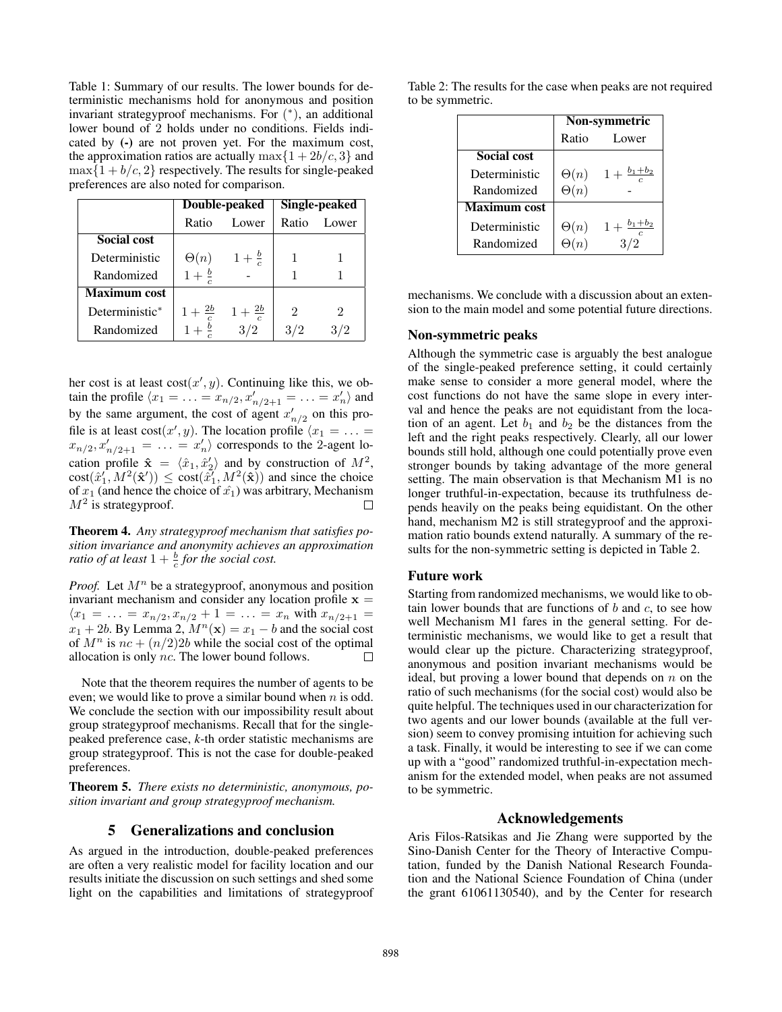Table 1: Summary of our results. The lower bounds for deterministic mechanisms hold for anonymous and position invariant strategyproof mechanisms. For ( ∗ ), an additional lower bound of 2 holds under no conditions. Fields indicated by (-) are not proven yet. For the maximum cost, the approximation ratios are actually  $\max\{1+2b/c, 3\}$  and  $\max\{1+b/c, 2\}$  respectively. The results for single-peaked preferences are also noted for comparison.

|                     |                    | Double-peaked      | Single-peaked  |                |  |  |
|---------------------|--------------------|--------------------|----------------|----------------|--|--|
|                     | Ratio              | Lower              | Ratio          | Lower          |  |  |
| <b>Social cost</b>  |                    |                    |                |                |  |  |
| Deterministic       | $\Theta(n)$        | $1 + \frac{b}{c}$  |                |                |  |  |
| Randomized          | $1 + \frac{b}{c}$  |                    |                |                |  |  |
| <b>Maximum</b> cost |                    |                    |                |                |  |  |
| Deterministic*      | $1 + \frac{2b}{a}$ | $1 + \frac{2b}{c}$ | $\mathfrak{D}$ | $\mathfrak{D}$ |  |  |
| Randomized          |                    | 3/2                |                |                |  |  |

her cost is at least  $cost(x', y)$ . Continuing like this, we obtain the profile  $\langle x_1 = ... = x_{n/2}, x'_{n/2+1} = ... = x'_n \rangle$  and by the same argument, the cost of agent  $x'_{n/2}$  on this profile is at least  $cost(x', y)$ . The location profile  $\langle x_1 = \ldots =$  $x_{n/2}, x'_{n/2+1} = \ldots = x'_n$  corresponds to the 2-agent location profile  $\hat{\mathbf{x}} = \langle \hat{x}_1, \hat{x}_2' \rangle$  and by construction of  $M^2$ ,  $cost(\hat{x}'_1, M^2(\hat{x}')) \leq cost(\hat{x}'_1, M^2(\hat{x}))$  and since the choice of  $x_1$  (and hence the choice of  $\hat{x_1}$ ) was arbitrary, Mechanism  $M^2$  is strategyproof.  $\Box$ 

Theorem 4. *Any strategyproof mechanism that satisfies position invariance and anonymity achieves an approximation ratio of at least*  $1 + \frac{b}{c}$  *for the social cost.* 

*Proof.* Let  $M^n$  be a strategyproof, anonymous and position invariant mechanism and consider any location profile  $x =$  $\langle x_1 = \ldots = x_{n/2}, x_{n/2} + 1 = \ldots = x_n$  with  $x_{n/2+1} =$  $x_1 + 2b$ . By Lemma 2,  $M^n(\mathbf{x}) = x_1 - b$  and the social cost of  $M^n$  is  $nc + (n/2)2b$  while the social cost of the optimal allocation is only nc. The lower bound follows. П

Note that the theorem requires the number of agents to be even; we would like to prove a similar bound when  $n$  is odd. We conclude the section with our impossibility result about group strategyproof mechanisms. Recall that for the singlepeaked preference case, *k*-th order statistic mechanisms are group strategyproof. This is not the case for double-peaked preferences.

Theorem 5. *There exists no deterministic, anonymous, position invariant and group strategyproof mechanism.*

## 5 Generalizations and conclusion

As argued in the introduction, double-peaked preferences are often a very realistic model for facility location and our results initiate the discussion on such settings and shed some light on the capabilities and limitations of strategyproof

|                  |  |  |  |  | Table 2: The results for the case when peaks are not required |  |  |
|------------------|--|--|--|--|---------------------------------------------------------------|--|--|
| to be symmetric. |  |  |  |  |                                                               |  |  |

|               | Non-symmetric |                           |  |  |  |
|---------------|---------------|---------------------------|--|--|--|
|               | Ratio         | Lower                     |  |  |  |
| Social cost   |               |                           |  |  |  |
| Deterministic | $\Theta(n)$   | $1+\frac{b_1+b_2}{c}$     |  |  |  |
| Randomized    | $\Theta(n)$   |                           |  |  |  |
| Maximum cost  |               |                           |  |  |  |
| Deterministic | $\Theta(n)$   | $1 + \frac{b_1 + b_2}{c}$ |  |  |  |
| Randomized    | $\Theta(n)$   |                           |  |  |  |

mechanisms. We conclude with a discussion about an extension to the main model and some potential future directions.

#### Non-symmetric peaks

Although the symmetric case is arguably the best analogue of the single-peaked preference setting, it could certainly make sense to consider a more general model, where the cost functions do not have the same slope in every interval and hence the peaks are not equidistant from the location of an agent. Let  $b_1$  and  $b_2$  be the distances from the left and the right peaks respectively. Clearly, all our lower bounds still hold, although one could potentially prove even stronger bounds by taking advantage of the more general setting. The main observation is that Mechanism M1 is no longer truthful-in-expectation, because its truthfulness depends heavily on the peaks being equidistant. On the other hand, mechanism M2 is still strategyproof and the approximation ratio bounds extend naturally. A summary of the results for the non-symmetric setting is depicted in Table 2.

## Future work

Starting from randomized mechanisms, we would like to obtain lower bounds that are functions of  $b$  and  $c$ , to see how well Mechanism M1 fares in the general setting. For deterministic mechanisms, we would like to get a result that would clear up the picture. Characterizing strategyproof, anonymous and position invariant mechanisms would be ideal, but proving a lower bound that depends on  $n$  on the ratio of such mechanisms (for the social cost) would also be quite helpful. The techniques used in our characterization for two agents and our lower bounds (available at the full version) seem to convey promising intuition for achieving such a task. Finally, it would be interesting to see if we can come up with a "good" randomized truthful-in-expectation mechanism for the extended model, when peaks are not assumed to be symmetric.

# Acknowledgements

Aris Filos-Ratsikas and Jie Zhang were supported by the Sino-Danish Center for the Theory of Interactive Computation, funded by the Danish National Research Foundation and the National Science Foundation of China (under the grant 61061130540), and by the Center for research